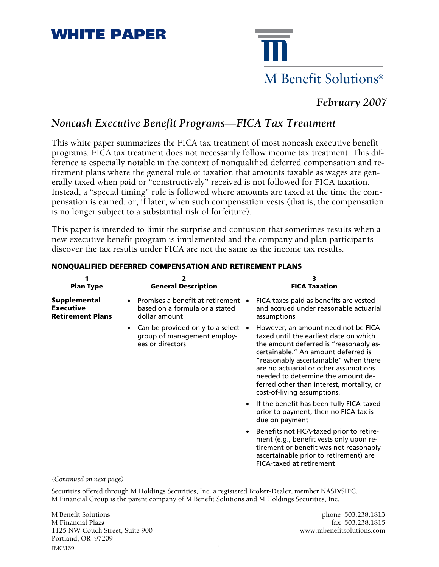# **WHITE PAPER**



## *February 2007*

### *Noncash Executive Benefit Programs—FICA Tax Treatment*

This white paper summarizes the FICA tax treatment of most noncash executive benefit programs. FICA tax treatment does not necessarily follow income tax treatment. This difference is especially notable in the context of nonqualified deferred compensation and retirement plans where the general rule of taxation that amounts taxable as wages are generally taxed when paid or "constructively" received is not followed for FICA taxation. Instead, a "special timing" rule is followed where amounts are taxed at the time the compensation is earned, or, if later, when such compensation vests (that is, the compensation is no longer subject to a substantial risk of forfeiture).

This paper is intended to limit the surprise and confusion that sometimes results when a new executive benefit program is implemented and the company and plan participants discover the tax results under FICA are not the same as the income tax results.

| <b>Plan Type</b>                                                   | 2<br><b>General Description</b>                                                                            | <b>FICA Taxation</b>                                                                                                                                                                                                                                                                                                                                                |
|--------------------------------------------------------------------|------------------------------------------------------------------------------------------------------------|---------------------------------------------------------------------------------------------------------------------------------------------------------------------------------------------------------------------------------------------------------------------------------------------------------------------------------------------------------------------|
| <b>Supplemental</b><br><b>Executive</b><br><b>Retirement Plans</b> | Promises a benefit at retirement<br>based on a formula or a stated<br>dollar amount                        | FICA taxes paid as benefits are vested<br>and accrued under reasonable actuarial<br>assumptions                                                                                                                                                                                                                                                                     |
|                                                                    | Can be provided only to a select $\bullet$<br>$\bullet$<br>group of management employ-<br>ees or directors | However, an amount need not be FICA-<br>taxed until the earliest date on which<br>the amount deferred is "reasonably as-<br>certainable." An amount deferred is<br>"reasonably ascertainable" when there<br>are no actuarial or other assumptions<br>needed to determine the amount de-<br>ferred other than interest, mortality, or<br>cost-of-living assumptions. |
|                                                                    |                                                                                                            | If the benefit has been fully FICA-taxed<br>prior to payment, then no FICA tax is<br>due on payment                                                                                                                                                                                                                                                                 |
|                                                                    |                                                                                                            | Benefits not FICA-taxed prior to retire-<br>ment (e.g., benefit vests only upon re-<br>tirement or benefit was not reasonably<br>ascertainable prior to retirement) are<br>FICA-taxed at retirement                                                                                                                                                                 |

#### **NONQUALIFIED DEFERRED COMPENSATION AND RETIREMENT PLANS**

*(Continued on next page)*

Securities offered through M Holdings Securities, Inc. a registered Broker-Dealer, member NASD/SIPC. M Financial Group is the parent company of M Benefit Solutions and M Holdings Securities, Inc.

FMC\169 1 M Benefit Solutions phone 503.238.1813 M Financial Plaza fax 503.238.1815<br>1125 NW Couch Street, Suite 900 fax 503.238.1815 1125 NW Couch Street, Suite 900 Portland, OR 97209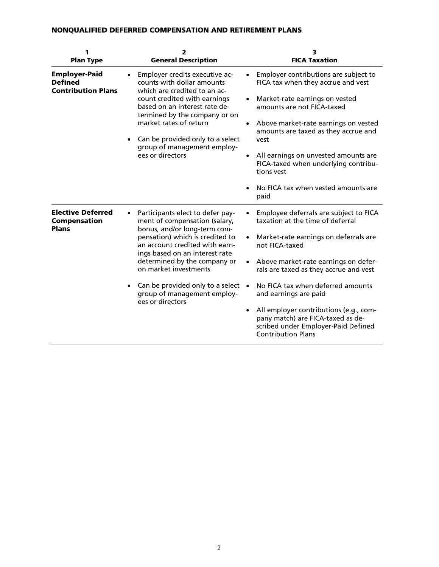### **NONQUALIFIED DEFERRED COMPENSATION AND RETIREMENT PLANS**

| 1<br><b>Plan Type</b>                                               | 2<br><b>General Description</b>                                                                                                                                                                                                                                                                                                                                                    | з<br><b>FICA Taxation</b>                                                                                                                                                                                                                                                                                                                                                                                                                             |
|---------------------------------------------------------------------|------------------------------------------------------------------------------------------------------------------------------------------------------------------------------------------------------------------------------------------------------------------------------------------------------------------------------------------------------------------------------------|-------------------------------------------------------------------------------------------------------------------------------------------------------------------------------------------------------------------------------------------------------------------------------------------------------------------------------------------------------------------------------------------------------------------------------------------------------|
| <b>Employer-Paid</b><br><b>Defined</b><br><b>Contribution Plans</b> | Employer credits executive ac-<br>counts with dollar amounts<br>which are credited to an ac-<br>count credited with earnings<br>based on an interest rate de-<br>termined by the company or on<br>market rates of return<br>Can be provided only to a select<br>$\bullet$<br>group of management employ-<br>ees or directors                                                       | Employer contributions are subject to<br>FICA tax when they accrue and vest<br>Market-rate earnings on vested<br>amounts are not FICA-taxed<br>Above market-rate earnings on vested<br>amounts are taxed as they accrue and<br>vest<br>All earnings on unvested amounts are<br>FICA-taxed when underlying contribu-<br>tions vest<br>No FICA tax when vested amounts are<br>paid                                                                      |
| <b>Elective Deferred</b><br><b>Compensation</b><br><b>Plans</b>     | Participants elect to defer pay-<br>$\bullet$<br>ment of compensation (salary,<br>bonus, and/or long-term com-<br>pensation) which is credited to<br>an account credited with earn-<br>ings based on an interest rate<br>determined by the company or<br>on market investments<br>Can be provided only to a select<br>$\bullet$<br>group of management employ-<br>ees or directors | Employee deferrals are subject to FICA<br>taxation at the time of deferral<br>Market-rate earnings on deferrals are<br>not FICA-taxed<br>Above market-rate earnings on defer-<br>rals are taxed as they accrue and vest<br>No FICA tax when deferred amounts<br>$\bullet$<br>and earnings are paid<br>All employer contributions (e.g., com-<br>pany match) are FICA-taxed as de-<br>scribed under Employer-Paid Defined<br><b>Contribution Plans</b> |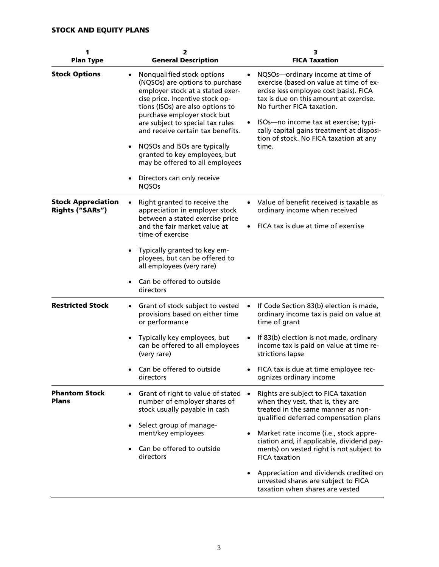| 1<br><b>Plan Type</b>                               | 2<br><b>General Description</b>                                                                                                                                                                                                                                                                                                                                                                                                    | з<br><b>FICA Taxation</b>                                                                                                                                                                                                                                                                                                             |
|-----------------------------------------------------|------------------------------------------------------------------------------------------------------------------------------------------------------------------------------------------------------------------------------------------------------------------------------------------------------------------------------------------------------------------------------------------------------------------------------------|---------------------------------------------------------------------------------------------------------------------------------------------------------------------------------------------------------------------------------------------------------------------------------------------------------------------------------------|
| <b>Stock Options</b>                                | Nonqualified stock options<br>(NQSOs) are options to purchase<br>employer stock at a stated exer-<br>cise price. Incentive stock op-<br>tions (ISOs) are also options to<br>purchase employer stock but<br>are subject to special tax rules<br>and receive certain tax benefits.<br>NQSOs and ISOs are typically<br>granted to key employees, but<br>may be offered to all employees<br>Directors can only receive<br><b>NQSOs</b> | NQSOs-ordinary income at time of<br>exercise (based on value at time of ex-<br>ercise less employee cost basis). FICA<br>tax is due on this amount at exercise.<br>No further FICA taxation.<br>ISOs-no income tax at exercise; typi-<br>cally capital gains treatment at disposi-<br>tion of stock. No FICA taxation at any<br>time. |
| <b>Stock Appreciation</b><br><b>Rights ("SARs")</b> | Right granted to receive the<br>appreciation in employer stock<br>between a stated exercise price<br>and the fair market value at<br>time of exercise                                                                                                                                                                                                                                                                              | Value of benefit received is taxable as<br>ordinary income when received<br>FICA tax is due at time of exercise                                                                                                                                                                                                                       |
|                                                     | Typically granted to key em-<br>ployees, but can be offered to<br>all employees (very rare)                                                                                                                                                                                                                                                                                                                                        |                                                                                                                                                                                                                                                                                                                                       |
|                                                     | Can be offered to outside<br>directors                                                                                                                                                                                                                                                                                                                                                                                             |                                                                                                                                                                                                                                                                                                                                       |
| <b>Restricted Stock</b>                             | Grant of stock subject to vested<br>$\bullet$<br>provisions based on either time<br>or performance                                                                                                                                                                                                                                                                                                                                 | If Code Section 83(b) election is made,<br>ordinary income tax is paid on value at<br>time of grant                                                                                                                                                                                                                                   |
|                                                     | Typically key employees, but<br>can be offered to all employees<br>(very rare)                                                                                                                                                                                                                                                                                                                                                     | If 83(b) election is not made, ordinary<br>income tax is paid on value at time re-<br>strictions lapse                                                                                                                                                                                                                                |
|                                                     | Can be offered to outside<br>directors                                                                                                                                                                                                                                                                                                                                                                                             | FICA tax is due at time employee rec-<br>ognizes ordinary income                                                                                                                                                                                                                                                                      |
| <b>Phantom Stock</b><br><b>Plans</b>                | Grant of right to value of stated<br>number of employer shares of<br>stock usually payable in cash                                                                                                                                                                                                                                                                                                                                 | Rights are subject to FICA taxation<br>$\bullet$<br>when they vest, that is, they are<br>treated in the same manner as non-<br>qualified deferred compensation plans                                                                                                                                                                  |
|                                                     | Select group of manage-<br>$\bullet$<br>ment/key employees                                                                                                                                                                                                                                                                                                                                                                         | Market rate income (i.e., stock appre-                                                                                                                                                                                                                                                                                                |
|                                                     | Can be offered to outside<br>directors                                                                                                                                                                                                                                                                                                                                                                                             | ciation and, if applicable, dividend pay-<br>ments) on vested right is not subject to<br><b>FICA taxation</b>                                                                                                                                                                                                                         |
|                                                     |                                                                                                                                                                                                                                                                                                                                                                                                                                    | Appreciation and dividends credited on<br>unvested shares are subject to FICA<br>taxation when shares are vested                                                                                                                                                                                                                      |